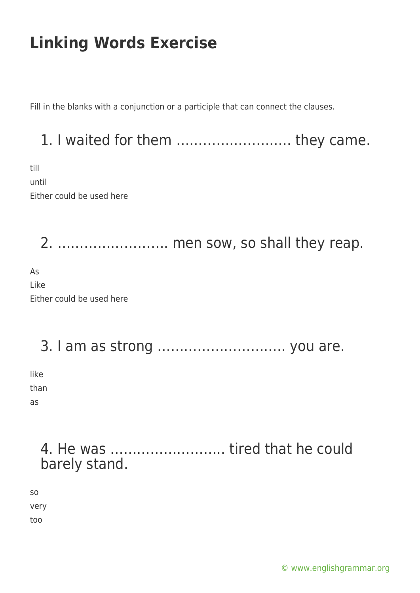Fill in the blanks with a conjunction or a participle that can connect the clauses.

1. I waited for them …………………….. they came. till until Either could be used here 2. ……………………. men sow, so shall they reap. As Like Either could be used here 3. I am as strong ……………………….. you are. like than as

4. He was …………………….. tired that he could barely stand.

so very too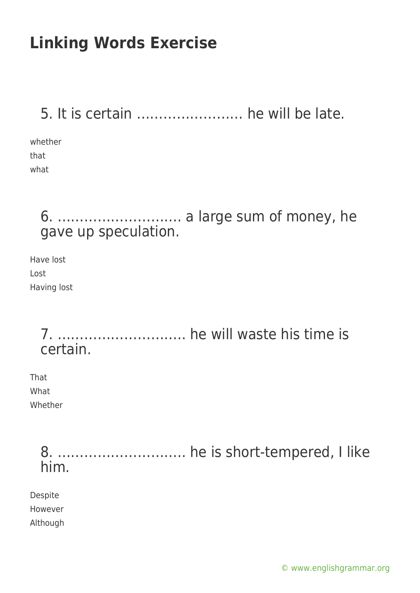5. It is certain …………………… he will be late.

whether that what

> 6. ………………………. a large sum of money, he gave up speculation.

Have lost Lost Having lost

> 7. ……………………….. he will waste his time is certain.

That What Whether

> 8. ……………………….. he is short-tempered, I like him.

Despite However Although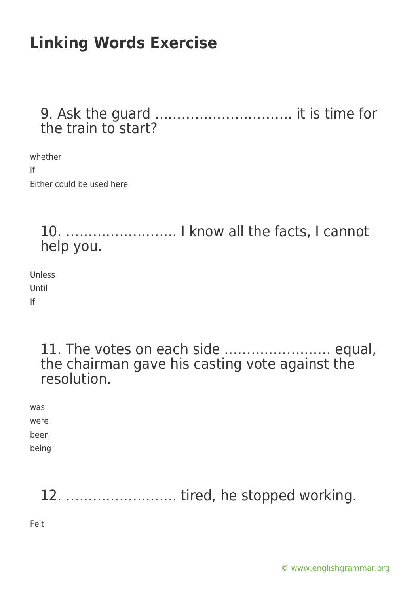### 9. Ask the guard …………………………. it is time for the train to start?

whether if Either could be used here

10. ……………………. I know all the facts, I cannot help you.

Unless Until If

> 11. The votes on each side …………………… equal, the chairman gave his casting vote against the resolution.

was were been

being

12. ……………………. tired, he stopped working.

Felt